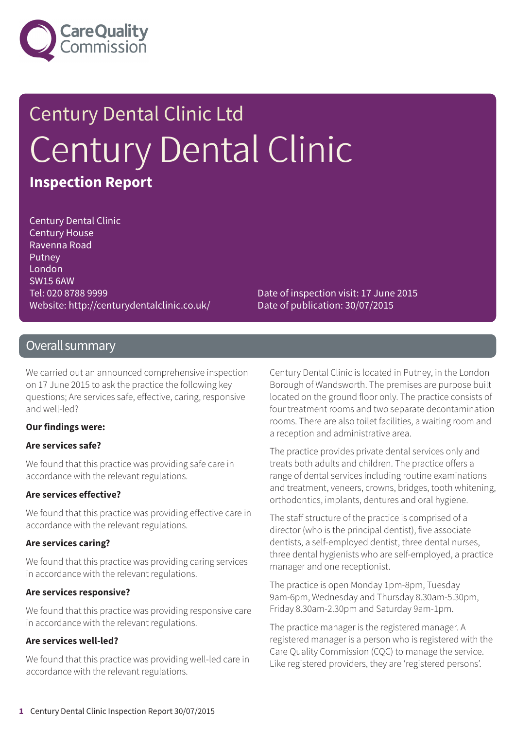

# Century Dental Clinic Ltd Century Dental Clinic **Inspection Report**

Century Dental Clinic Century House Ravenna Road Putney London SW15 6AW Tel: 020 8788 9999 Website: http://centurydentalclinic.co.uk/

Date of inspection visit: 17 June 2015 Date of publication: 30/07/2015

### Overall summary

We carried out an announced comprehensive inspection on 17 June 2015 to ask the practice the following key questions; Are services safe, effective, caring, responsive and well-led?

#### **Our findings were:**

#### **Are services safe?**

We found that this practice was providing safe care in accordance with the relevant regulations.

#### **Are services effective?**

We found that this practice was providing effective care in accordance with the relevant regulations.

#### **Are services caring?**

We found that this practice was providing caring services in accordance with the relevant regulations.

### **Are services responsive?**

We found that this practice was providing responsive care in accordance with the relevant regulations.

### **Are services well-led?**

We found that this practice was providing well-led care in accordance with the relevant regulations.

Century Dental Clinic is located in Putney, in the London Borough of Wandsworth. The premises are purpose built located on the ground floor only. The practice consists of four treatment rooms and two separate decontamination rooms. There are also toilet facilities, a waiting room and a reception and administrative area.

The practice provides private dental services only and treats both adults and children. The practice offers a range of dental services including routine examinations and treatment, veneers, crowns, bridges, tooth whitening, orthodontics, implants, dentures and oral hygiene.

The staff structure of the practice is comprised of a director (who is the principal dentist), five associate dentists, a self-employed dentist, three dental nurses, three dental hygienists who are self-employed, a practice manager and one receptionist.

The practice is open Monday 1pm-8pm, Tuesday 9am-6pm, Wednesday and Thursday 8.30am-5.30pm, Friday 8.30am-2.30pm and Saturday 9am-1pm.

The practice manager is the registered manager. A registered manager is a person who is registered with the Care Quality Commission (CQC) to manage the service. Like registered providers, they are 'registered persons'.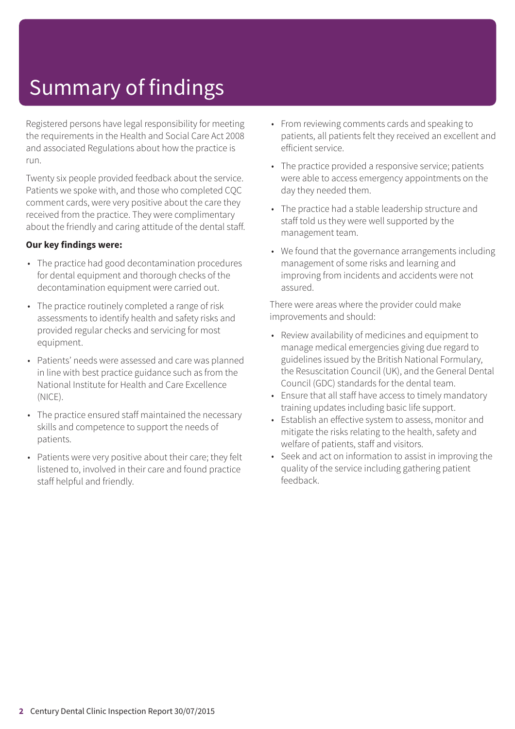# Summary of findings

Registered persons have legal responsibility for meeting the requirements in the Health and Social Care Act 2008 and associated Regulations about how the practice is run.

Twenty six people provided feedback about the service. Patients we spoke with, and those who completed CQC comment cards, were very positive about the care they received from the practice. They were complimentary about the friendly and caring attitude of the dental staff.

### **Our key findings were:**

- The practice had good decontamination procedures for dental equipment and thorough checks of the decontamination equipment were carried out.
- The practice routinely completed a range of risk assessments to identify health and safety risks and provided regular checks and servicing for most equipment.
- Patients' needs were assessed and care was planned in line with best practice guidance such as from the National Institute for Health and Care Excellence (NICE).
- The practice ensured staff maintained the necessary skills and competence to support the needs of patients.
- Patients were very positive about their care; they felt listened to, involved in their care and found practice staff helpful and friendly.
- From reviewing comments cards and speaking to patients, all patients felt they received an excellent and efficient service.
- The practice provided a responsive service; patients were able to access emergency appointments on the day they needed them.
- The practice had a stable leadership structure and staff told us they were well supported by the management team.
- We found that the governance arrangements including management of some risks and learning and improving from incidents and accidents were not assured.

There were areas where the provider could make improvements and should:

- Review availability of medicines and equipment to manage medical emergencies giving due regard to guidelines issued by the British National Formulary, the Resuscitation Council (UK), and the General Dental Council (GDC) standards for the dental team.
- Ensure that all staff have access to timely mandatory training updates including basic life support.
- Establish an effective system to assess, monitor and mitigate the risks relating to the health, safety and welfare of patients, staff and visitors.
- Seek and act on information to assist in improving the quality of the service including gathering patient feedback.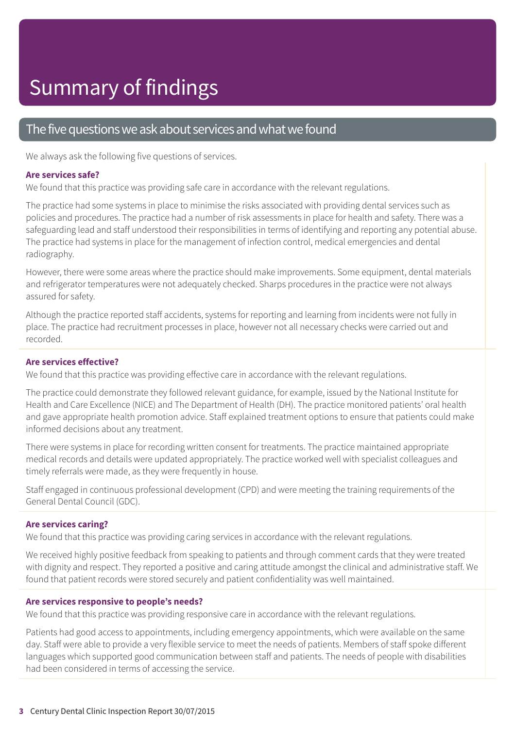### The five questions we ask about services and what we found

We always ask the following five questions of services.

#### **Are services safe?**

We found that this practice was providing safe care in accordance with the relevant regulations.

The practice had some systems in place to minimise the risks associated with providing dental services such as policies and procedures. The practice had a number of risk assessments in place for health and safety. There was a safeguarding lead and staff understood their responsibilities in terms of identifying and reporting any potential abuse. The practice had systems in place for the management of infection control, medical emergencies and dental radiography.

However, there were some areas where the practice should make improvements. Some equipment, dental materials and refrigerator temperatures were not adequately checked. Sharps procedures in the practice were not always assured for safety.

Although the practice reported staff accidents, systems for reporting and learning from incidents were not fully in place. The practice had recruitment processes in place, however not all necessary checks were carried out and recorded.

### **Are services effective?**

We found that this practice was providing effective care in accordance with the relevant regulations.

The practice could demonstrate they followed relevant guidance, for example, issued by the National Institute for Health and Care Excellence (NICE) and The Department of Health (DH). The practice monitored patients' oral health and gave appropriate health promotion advice. Staff explained treatment options to ensure that patients could make informed decisions about any treatment.

There were systems in place for recording written consent for treatments. The practice maintained appropriate medical records and details were updated appropriately. The practice worked well with specialist colleagues and timely referrals were made, as they were frequently in house.

Staff engaged in continuous professional development (CPD) and were meeting the training requirements of the General Dental Council (GDC).

### **Are services caring?**

We found that this practice was providing caring services in accordance with the relevant regulations.

We received highly positive feedback from speaking to patients and through comment cards that they were treated with dignity and respect. They reported a positive and caring attitude amongst the clinical and administrative staff. We found that patient records were stored securely and patient confidentiality was well maintained.

#### **Are services responsive to people's needs?**

We found that this practice was providing responsive care in accordance with the relevant regulations.

Patients had good access to appointments, including emergency appointments, which were available on the same day. Staff were able to provide a very flexible service to meet the needs of patients. Members of staff spoke different languages which supported good communication between staff and patients. The needs of people with disabilities had been considered in terms of accessing the service.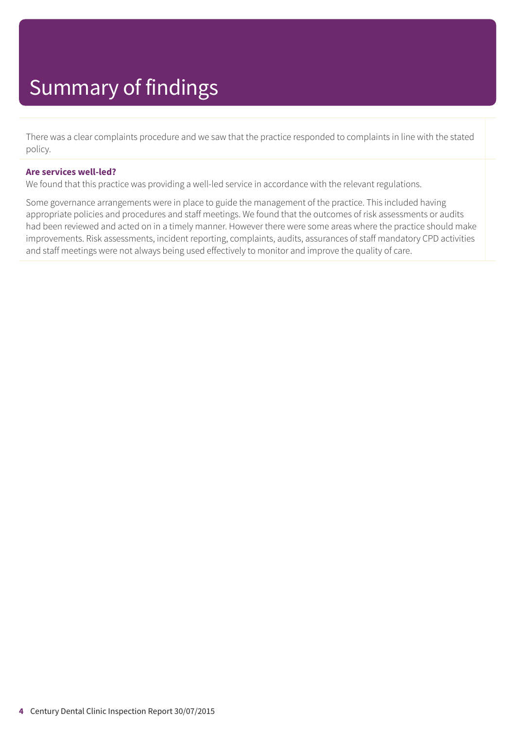There was a clear complaints procedure and we saw that the practice responded to complaints in line with the stated policy.

#### **Are services well-led?**

We found that this practice was providing a well-led service in accordance with the relevant regulations.

Some governance arrangements were in place to guide the management of the practice. This included having appropriate policies and procedures and staff meetings. We found that the outcomes of risk assessments or audits had been reviewed and acted on in a timely manner. However there were some areas where the practice should make improvements. Risk assessments, incident reporting, complaints, audits, assurances of staff mandatory CPD activities and staff meetings were not always being used effectively to monitor and improve the quality of care.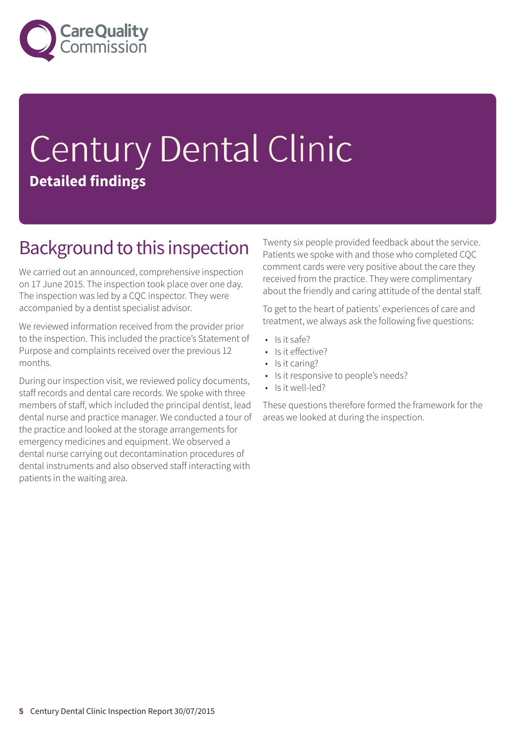

# Century Dental Clinic **Detailed findings**

### Background to this inspection

We carried out an announced, comprehensive inspection on 17 June 2015. The inspection took place over one day. The inspection was led by a CQC inspector. They were accompanied by a dentist specialist advisor.

We reviewed information received from the provider prior to the inspection. This included the practice's Statement of Purpose and complaints received over the previous 12 months.

During our inspection visit, we reviewed policy documents, staff records and dental care records. We spoke with three members of staff, which included the principal dentist, lead dental nurse and practice manager. We conducted a tour of the practice and looked at the storage arrangements for emergency medicines and equipment. We observed a dental nurse carrying out decontamination procedures of dental instruments and also observed staff interacting with patients in the waiting area.

Twenty six people provided feedback about the service. Patients we spoke with and those who completed CQC comment cards were very positive about the care they received from the practice. They were complimentary about the friendly and caring attitude of the dental staff.

To get to the heart of patients' experiences of care and treatment, we always ask the following five questions:

- Is it safe?
- Is it effective?
- Is it caring?
- Is it responsive to people's needs?
- Is it well-led?

These questions therefore formed the framework for the areas we looked at during the inspection.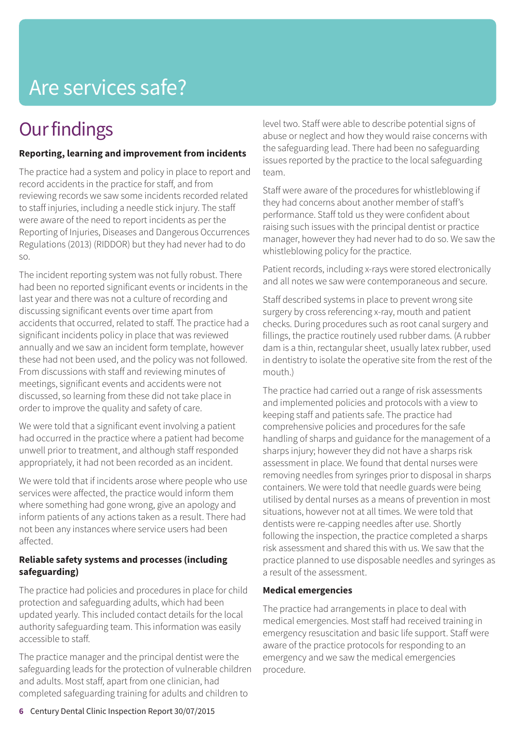### **Our findings**

### **Reporting, learning and improvement from incidents**

The practice had a system and policy in place to report and record accidents in the practice for staff, and from reviewing records we saw some incidents recorded related to staff injuries, including a needle stick injury. The staff were aware of the need to report incidents as per the Reporting of Injuries, Diseases and Dangerous Occurrences Regulations (2013) (RIDDOR) but they had never had to do so.

The incident reporting system was not fully robust. There had been no reported significant events or incidents in the last year and there was not a culture of recording and discussing significant events over time apart from accidents that occurred, related to staff. The practice had a significant incidents policy in place that was reviewed annually and we saw an incident form template, however these had not been used, and the policy was not followed. From discussions with staff and reviewing minutes of meetings, significant events and accidents were not discussed, so learning from these did not take place in order to improve the quality and safety of care.

We were told that a significant event involving a patient had occurred in the practice where a patient had become unwell prior to treatment, and although staff responded appropriately, it had not been recorded as an incident.

We were told that if incidents arose where people who use services were affected, the practice would inform them where something had gone wrong, give an apology and inform patients of any actions taken as a result. There had not been any instances where service users had been affected.

### **Reliable safety systems and processes (including safeguarding)**

The practice had policies and procedures in place for child protection and safeguarding adults, which had been updated yearly. This included contact details for the local authority safeguarding team. This information was easily accessible to staff.

The practice manager and the principal dentist were the safeguarding leads for the protection of vulnerable children and adults. Most staff, apart from one clinician, had completed safeguarding training for adults and children to

level two. Staff were able to describe potential signs of abuse or neglect and how they would raise concerns with the safeguarding lead. There had been no safeguarding issues reported by the practice to the local safeguarding team.

Staff were aware of the procedures for whistleblowing if they had concerns about another member of staff's performance. Staff told us they were confident about raising such issues with the principal dentist or practice manager, however they had never had to do so. We saw the whistleblowing policy for the practice.

Patient records, including x-rays were stored electronically and all notes we saw were contemporaneous and secure.

Staff described systems in place to prevent wrong site surgery by cross referencing x-ray, mouth and patient checks. During procedures such as root canal surgery and fillings, the practice routinely used rubber dams. (A rubber dam is a thin, rectangular sheet, usually latex rubber, used in dentistry to isolate the operative site from the rest of the mouth.)

The practice had carried out a range of risk assessments and implemented policies and protocols with a view to keeping staff and patients safe. The practice had comprehensive policies and procedures for the safe handling of sharps and guidance for the management of a sharps injury; however they did not have a sharps risk assessment in place. We found that dental nurses were removing needles from syringes prior to disposal in sharps containers. We were told that needle guards were being utilised by dental nurses as a means of prevention in most situations, however not at all times. We were told that dentists were re-capping needles after use. Shortly following the inspection, the practice completed a sharps risk assessment and shared this with us. We saw that the practice planned to use disposable needles and syringes as a result of the assessment.

### **Medical emergencies**

The practice had arrangements in place to deal with medical emergencies. Most staff had received training in emergency resuscitation and basic life support. Staff were aware of the practice protocols for responding to an emergency and we saw the medical emergencies procedure.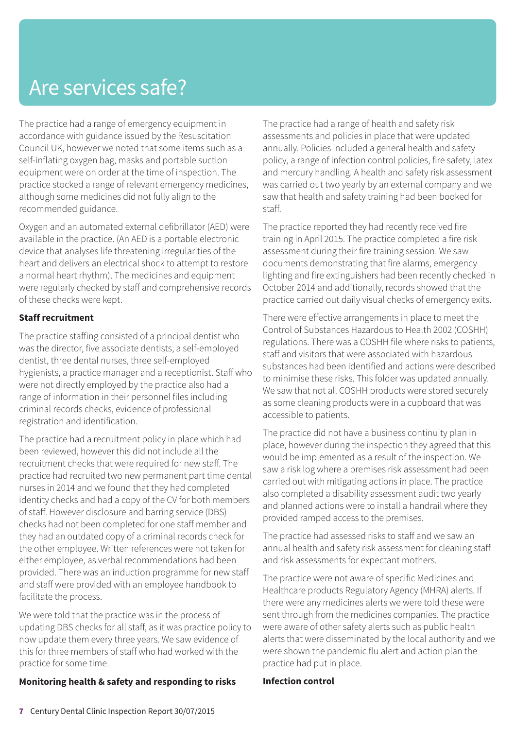The practice had a range of emergency equipment in accordance with guidance issued by the Resuscitation Council UK, however we noted that some items such as a self-inflating oxygen bag, masks and portable suction equipment were on order at the time of inspection. The practice stocked a range of relevant emergency medicines, although some medicines did not fully align to the recommended guidance.

Oxygen and an automated external defibrillator (AED) were available in the practice. (An AED is a portable electronic device that analyses life threatening irregularities of the heart and delivers an electrical shock to attempt to restore a normal heart rhythm). The medicines and equipment were regularly checked by staff and comprehensive records of these checks were kept.

### **Staff recruitment**

The practice staffing consisted of a principal dentist who was the director, five associate dentists, a self-employed dentist, three dental nurses, three self-employed hygienists, a practice manager and a receptionist. Staff who were not directly employed by the practice also had a range of information in their personnel files including criminal records checks, evidence of professional registration and identification.

The practice had a recruitment policy in place which had been reviewed, however this did not include all the recruitment checks that were required for new staff. The practice had recruited two new permanent part time dental nurses in 2014 and we found that they had completed identity checks and had a copy of the CV for both members of staff. However disclosure and barring service (DBS) checks had not been completed for one staff member and they had an outdated copy of a criminal records check for the other employee. Written references were not taken for either employee, as verbal recommendations had been provided. There was an induction programme for new staff and staff were provided with an employee handbook to facilitate the process.

We were told that the practice was in the process of updating DBS checks for all staff, as it was practice policy to now update them every three years. We saw evidence of this for three members of staff who had worked with the practice for some time.

### **Monitoring health & safety and responding to risks**

The practice had a range of health and safety risk assessments and policies in place that were updated annually. Policies included a general health and safety policy, a range of infection control policies, fire safety, latex and mercury handling. A health and safety risk assessment was carried out two yearly by an external company and we saw that health and safety training had been booked for staff.

The practice reported they had recently received fire training in April 2015. The practice completed a fire risk assessment during their fire training session. We saw documents demonstrating that fire alarms, emergency lighting and fire extinguishers had been recently checked in October 2014 and additionally, records showed that the practice carried out daily visual checks of emergency exits.

There were effective arrangements in place to meet the Control of Substances Hazardous to Health 2002 (COSHH) regulations. There was a COSHH file where risks to patients, staff and visitors that were associated with hazardous substances had been identified and actions were described to minimise these risks. This folder was updated annually. We saw that not all COSHH products were stored securely as some cleaning products were in a cupboard that was accessible to patients.

The practice did not have a business continuity plan in place, however during the inspection they agreed that this would be implemented as a result of the inspection. We saw a risk log where a premises risk assessment had been carried out with mitigating actions in place. The practice also completed a disability assessment audit two yearly and planned actions were to install a handrail where they provided ramped access to the premises.

The practice had assessed risks to staff and we saw an annual health and safety risk assessment for cleaning staff and risk assessments for expectant mothers.

The practice were not aware of specific Medicines and Healthcare products Regulatory Agency (MHRA) alerts. If there were any medicines alerts we were told these were sent through from the medicines companies. The practice were aware of other safety alerts such as public health alerts that were disseminated by the local authority and we were shown the pandemic flu alert and action plan the practice had put in place.

### **Infection control**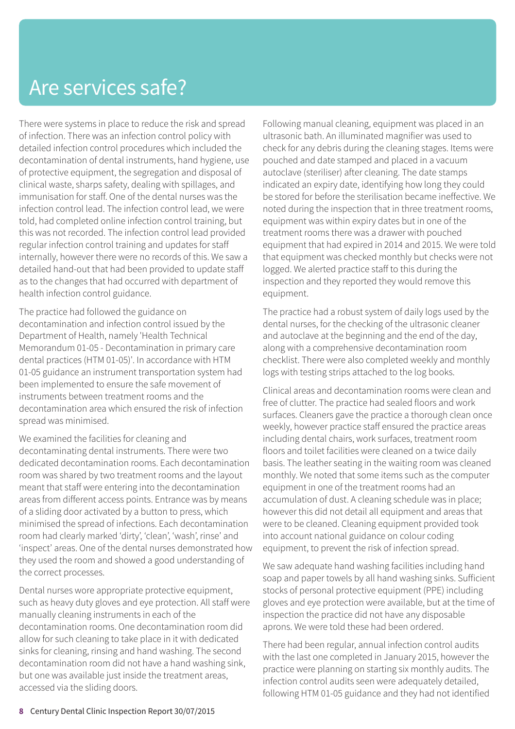There were systems in place to reduce the risk and spread of infection. There was an infection control policy with detailed infection control procedures which included the decontamination of dental instruments, hand hygiene, use of protective equipment, the segregation and disposal of clinical waste, sharps safety, dealing with spillages, and immunisation for staff. One of the dental nurses was the infection control lead. The infection control lead, we were told, had completed online infection control training, but this was not recorded. The infection control lead provided regular infection control training and updates for staff internally, however there were no records of this. We saw a detailed hand-out that had been provided to update staff as to the changes that had occurred with department of health infection control guidance.

The practice had followed the guidance on decontamination and infection control issued by the Department of Health, namely 'Health Technical Memorandum 01-05 - Decontamination in primary care dental practices (HTM 01-05)'. In accordance with HTM 01-05 guidance an instrument transportation system had been implemented to ensure the safe movement of instruments between treatment rooms and the decontamination area which ensured the risk of infection spread was minimised.

We examined the facilities for cleaning and decontaminating dental instruments. There were two dedicated decontamination rooms. Each decontamination room was shared by two treatment rooms and the layout meant that staff were entering into the decontamination areas from different access points. Entrance was by means of a sliding door activated by a button to press, which minimised the spread of infections. Each decontamination room had clearly marked 'dirty', 'clean', 'wash', rinse' and 'inspect' areas. One of the dental nurses demonstrated how they used the room and showed a good understanding of the correct processes.

Dental nurses wore appropriate protective equipment, such as heavy duty gloves and eye protection. All staff were manually cleaning instruments in each of the decontamination rooms. One decontamination room did allow for such cleaning to take place in it with dedicated sinks for cleaning, rinsing and hand washing. The second decontamination room did not have a hand washing sink, but one was available just inside the treatment areas, accessed via the sliding doors.

Following manual cleaning, equipment was placed in an ultrasonic bath. An illuminated magnifier was used to check for any debris during the cleaning stages. Items were pouched and date stamped and placed in a vacuum autoclave (steriliser) after cleaning. The date stamps indicated an expiry date, identifying how long they could be stored for before the sterilisation became ineffective. We noted during the inspection that in three treatment rooms, equipment was within expiry dates but in one of the treatment rooms there was a drawer with pouched equipment that had expired in 2014 and 2015. We were told that equipment was checked monthly but checks were not logged. We alerted practice staff to this during the inspection and they reported they would remove this equipment.

The practice had a robust system of daily logs used by the dental nurses, for the checking of the ultrasonic cleaner and autoclave at the beginning and the end of the day, along with a comprehensive decontamination room checklist. There were also completed weekly and monthly logs with testing strips attached to the log books.

Clinical areas and decontamination rooms were clean and free of clutter. The practice had sealed floors and work surfaces. Cleaners gave the practice a thorough clean once weekly, however practice staff ensured the practice areas including dental chairs, work surfaces, treatment room floors and toilet facilities were cleaned on a twice daily basis. The leather seating in the waiting room was cleaned monthly. We noted that some items such as the computer equipment in one of the treatment rooms had an accumulation of dust. A cleaning schedule was in place; however this did not detail all equipment and areas that were to be cleaned. Cleaning equipment provided took into account national guidance on colour coding equipment, to prevent the risk of infection spread.

We saw adequate hand washing facilities including hand soap and paper towels by all hand washing sinks. Sufficient stocks of personal protective equipment (PPE) including gloves and eye protection were available, but at the time of inspection the practice did not have any disposable aprons. We were told these had been ordered.

There had been regular, annual infection control audits with the last one completed in January 2015, however the practice were planning on starting six monthly audits. The infection control audits seen were adequately detailed, following HTM 01-05 guidance and they had not identified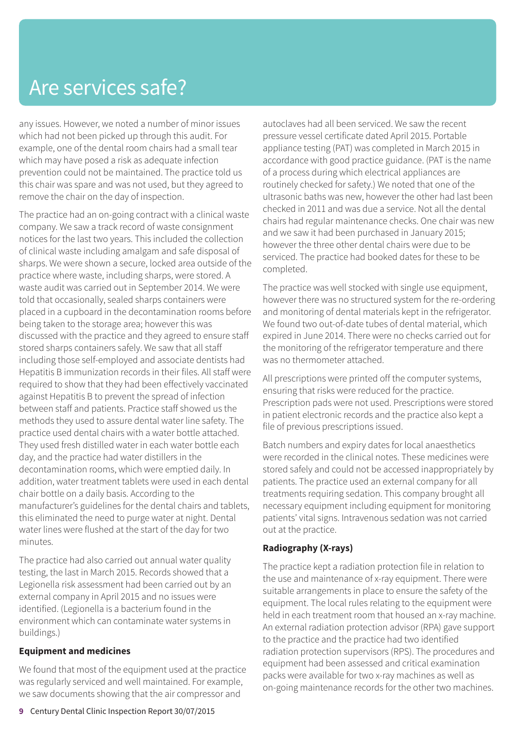any issues. However, we noted a number of minor issues which had not been picked up through this audit. For example, one of the dental room chairs had a small tear which may have posed a risk as adequate infection prevention could not be maintained. The practice told us this chair was spare and was not used, but they agreed to remove the chair on the day of inspection.

The practice had an on-going contract with a clinical waste company. We saw a track record of waste consignment notices for the last two years. This included the collection of clinical waste including amalgam and safe disposal of sharps. We were shown a secure, locked area outside of the practice where waste, including sharps, were stored. A waste audit was carried out in September 2014. We were told that occasionally, sealed sharps containers were placed in a cupboard in the decontamination rooms before being taken to the storage area; however this was discussed with the practice and they agreed to ensure staff stored sharps containers safely. We saw that all staff including those self-employed and associate dentists had Hepatitis B immunization records in their files. All staff were required to show that they had been effectively vaccinated against Hepatitis B to prevent the spread of infection between staff and patients. Practice staff showed us the methods they used to assure dental water line safety. The practice used dental chairs with a water bottle attached. They used fresh distilled water in each water bottle each day, and the practice had water distillers in the decontamination rooms, which were emptied daily. In addition, water treatment tablets were used in each dental chair bottle on a daily basis. According to the manufacturer's guidelines for the dental chairs and tablets, this eliminated the need to purge water at night. Dental water lines were flushed at the start of the day for two minutes.

The practice had also carried out annual water quality testing, the last in March 2015. Records showed that a Legionella risk assessment had been carried out by an external company in April 2015 and no issues were identified. (Legionella is a bacterium found in the environment which can contaminate water systems in buildings.)

#### **Equipment and medicines**

We found that most of the equipment used at the practice was regularly serviced and well maintained. For example, we saw documents showing that the air compressor and

autoclaves had all been serviced. We saw the recent pressure vessel certificate dated April 2015. Portable appliance testing (PAT) was completed in March 2015 in accordance with good practice guidance. (PAT is the name of a process during which electrical appliances are routinely checked for safety.) We noted that one of the ultrasonic baths was new, however the other had last been checked in 2011 and was due a service. Not all the dental chairs had regular maintenance checks. One chair was new and we saw it had been purchased in January 2015; however the three other dental chairs were due to be serviced. The practice had booked dates for these to be completed.

The practice was well stocked with single use equipment, however there was no structured system for the re-ordering and monitoring of dental materials kept in the refrigerator. We found two out-of-date tubes of dental material, which expired in June 2014. There were no checks carried out for the monitoring of the refrigerator temperature and there was no thermometer attached.

All prescriptions were printed off the computer systems, ensuring that risks were reduced for the practice. Prescription pads were not used. Prescriptions were stored in patient electronic records and the practice also kept a file of previous prescriptions issued.

Batch numbers and expiry dates for local anaesthetics were recorded in the clinical notes. These medicines were stored safely and could not be accessed inappropriately by patients. The practice used an external company for all treatments requiring sedation. This company brought all necessary equipment including equipment for monitoring patients' vital signs. Intravenous sedation was not carried out at the practice.

### **Radiography (X-rays)**

The practice kept a radiation protection file in relation to the use and maintenance of x-ray equipment. There were suitable arrangements in place to ensure the safety of the equipment. The local rules relating to the equipment were held in each treatment room that housed an x-ray machine. An external radiation protection advisor (RPA) gave support to the practice and the practice had two identified radiation protection supervisors (RPS). The procedures and equipment had been assessed and critical examination packs were available for two x-ray machines as well as on-going maintenance records for the other two machines.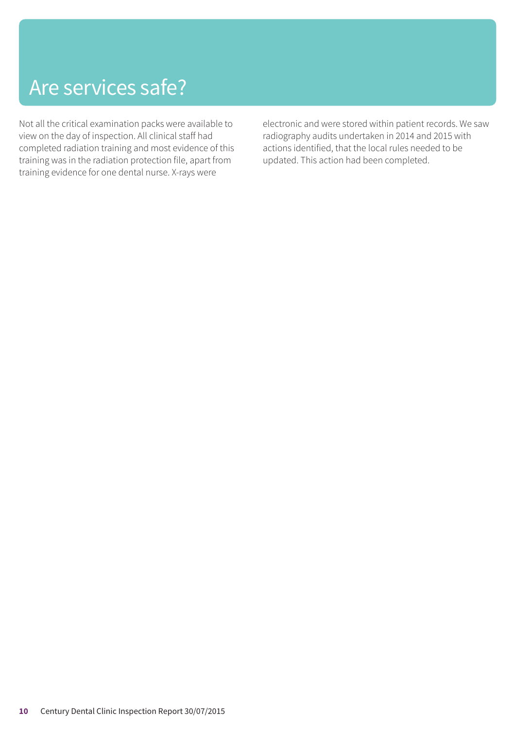Not all the critical examination packs were available to view on the day of inspection. All clinical staff had completed radiation training and most evidence of this training was in the radiation protection file, apart from training evidence for one dental nurse. X-rays were

electronic and were stored within patient records. We saw radiography audits undertaken in 2014 and 2015 with actions identified, that the local rules needed to be updated. This action had been completed.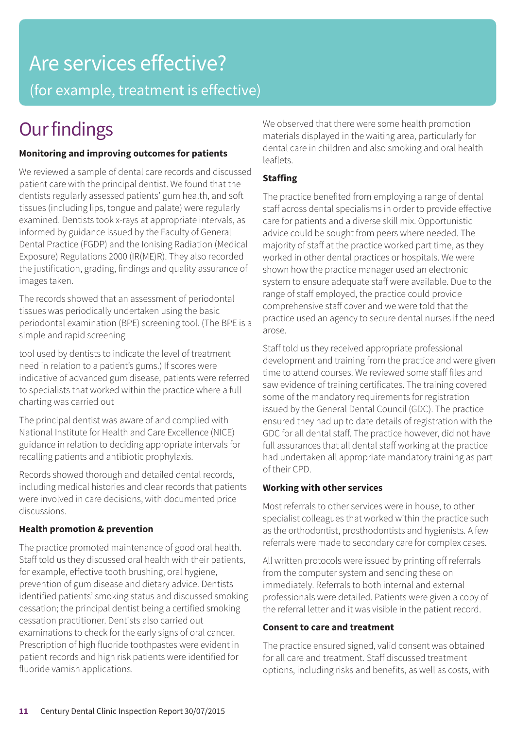## Are services effective? (for example, treatment is effective)

### **Our findings**

### **Monitoring and improving outcomes for patients**

We reviewed a sample of dental care records and discussed patient care with the principal dentist. We found that the dentists regularly assessed patients' gum health, and soft tissues (including lips, tongue and palate) were regularly examined. Dentists took x-rays at appropriate intervals, as informed by guidance issued by the Faculty of General Dental Practice (FGDP) and the Ionising Radiation (Medical Exposure) Regulations 2000 (IR(ME)R). They also recorded the justification, grading, findings and quality assurance of images taken.

The records showed that an assessment of periodontal tissues was periodically undertaken using the basic periodontal examination (BPE) screening tool. (The BPE is a simple and rapid screening

tool used by dentists to indicate the level of treatment need in relation to a patient's gums.) If scores were indicative of advanced gum disease, patients were referred to specialists that worked within the practice where a full charting was carried out

The principal dentist was aware of and complied with National Institute for Health and Care Excellence (NICE) guidance in relation to deciding appropriate intervals for recalling patients and antibiotic prophylaxis.

Records showed thorough and detailed dental records, including medical histories and clear records that patients were involved in care decisions, with documented price discussions.

### **Health promotion & prevention**

The practice promoted maintenance of good oral health. Staff told us they discussed oral health with their patients, for example, effective tooth brushing, oral hygiene, prevention of gum disease and dietary advice. Dentists identified patients' smoking status and discussed smoking cessation; the principal dentist being a certified smoking cessation practitioner. Dentists also carried out examinations to check for the early signs of oral cancer. Prescription of high fluoride toothpastes were evident in patient records and high risk patients were identified for fluoride varnish applications.

We observed that there were some health promotion materials displayed in the waiting area, particularly for dental care in children and also smoking and oral health leaflets.

### **Staffing**

The practice benefited from employing a range of dental staff across dental specialisms in order to provide effective care for patients and a diverse skill mix. Opportunistic advice could be sought from peers where needed. The majority of staff at the practice worked part time, as they worked in other dental practices or hospitals. We were shown how the practice manager used an electronic system to ensure adequate staff were available. Due to the range of staff employed, the practice could provide comprehensive staff cover and we were told that the practice used an agency to secure dental nurses if the need arose.

Staff told us they received appropriate professional development and training from the practice and were given time to attend courses. We reviewed some staff files and saw evidence of training certificates. The training covered some of the mandatory requirements for registration issued by the General Dental Council (GDC). The practice ensured they had up to date details of registration with the GDC for all dental staff. The practice however, did not have full assurances that all dental staff working at the practice had undertaken all appropriate mandatory training as part of their CPD.

### **Working with other services**

Most referrals to other services were in house, to other specialist colleagues that worked within the practice such as the orthodontist, prosthodontists and hygienists. A few referrals were made to secondary care for complex cases.

All written protocols were issued by printing off referrals from the computer system and sending these on immediately. Referrals to both internal and external professionals were detailed. Patients were given a copy of the referral letter and it was visible in the patient record.

### **Consent to care and treatment**

The practice ensured signed, valid consent was obtained for all care and treatment. Staff discussed treatment options, including risks and benefits, as well as costs, with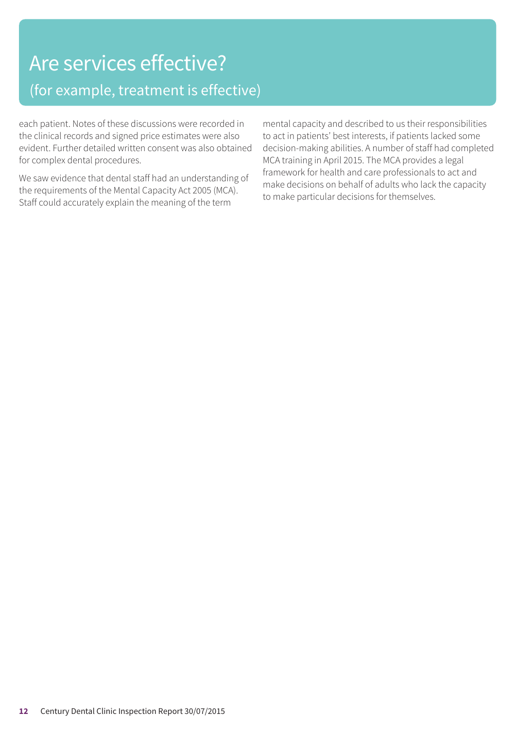### Are services effective? (for example, treatment is effective)

each patient. Notes of these discussions were recorded in the clinical records and signed price estimates were also evident. Further detailed written consent was also obtained for complex dental procedures.

We saw evidence that dental staff had an understanding of the requirements of the Mental Capacity Act 2005 (MCA). Staff could accurately explain the meaning of the term

mental capacity and described to us their responsibilities to act in patients' best interests, if patients lacked some decision-making abilities. A number of staff had completed MCA training in April 2015. The MCA provides a legal framework for health and care professionals to act and make decisions on behalf of adults who lack the capacity to make particular decisions for themselves.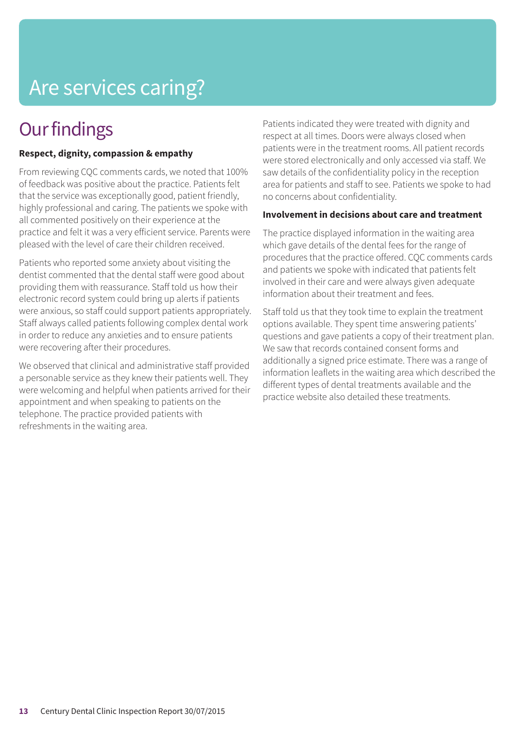# Are services caring?

### **Our findings**

### **Respect, dignity, compassion & empathy**

From reviewing CQC comments cards, we noted that 100% of feedback was positive about the practice. Patients felt that the service was exceptionally good, patient friendly, highly professional and caring. The patients we spoke with all commented positively on their experience at the practice and felt it was a very efficient service. Parents were pleased with the level of care their children received.

Patients who reported some anxiety about visiting the dentist commented that the dental staff were good about providing them with reassurance. Staff told us how their electronic record system could bring up alerts if patients were anxious, so staff could support patients appropriately. Staff always called patients following complex dental work in order to reduce any anxieties and to ensure patients were recovering after their procedures.

We observed that clinical and administrative staff provided a personable service as they knew their patients well. They were welcoming and helpful when patients arrived for their appointment and when speaking to patients on the telephone. The practice provided patients with refreshments in the waiting area.

Patients indicated they were treated with dignity and respect at all times. Doors were always closed when patients were in the treatment rooms. All patient records were stored electronically and only accessed via staff. We saw details of the confidentiality policy in the reception area for patients and staff to see. Patients we spoke to had no concerns about confidentiality.

#### **Involvement in decisions about care and treatment**

The practice displayed information in the waiting area which gave details of the dental fees for the range of procedures that the practice offered. CQC comments cards and patients we spoke with indicated that patients felt involved in their care and were always given adequate information about their treatment and fees.

Staff told us that they took time to explain the treatment options available. They spent time answering patients' questions and gave patients a copy of their treatment plan. We saw that records contained consent forms and additionally a signed price estimate. There was a range of information leaflets in the waiting area which described the different types of dental treatments available and the practice website also detailed these treatments.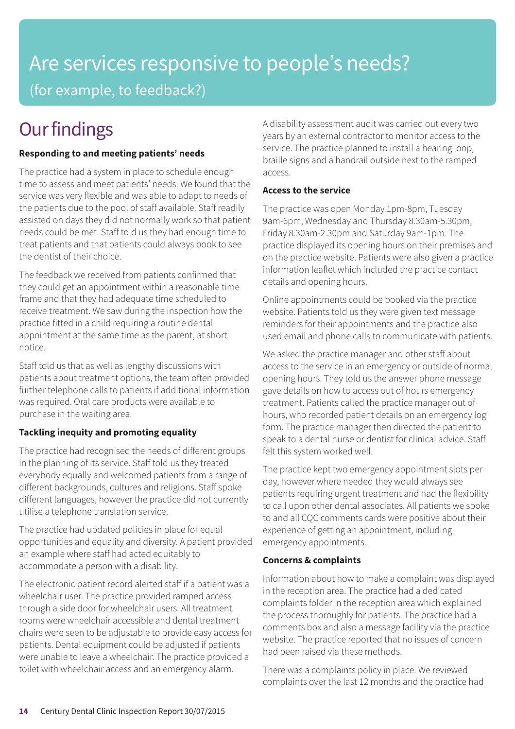## Are services responsive to people's needs? (for example, to feedback?)

### **Our findings**

### **Responding to and meeting patients' needs**

The practice had a system in place to schedule enough time to assess and meet patients' needs. We found that the service was very flexible and was able to adapt to needs of the patients due to the pool of staff available. Staff readily assisted on days they did not normally work so that patient needs could be met. Staff told us they had enough time to treat patients and that patients could always book to see the dentist of their choice.

The feedback we received from patients confirmed that they could get an appointment within a reasonable time frame and that they had adequate time scheduled to receive treatment. We saw during the inspection how the practice fitted in a child requiring a routine dental appointment at the same time as the parent, at short notice.

Staff told us that as well as lengthy discussions with patients about treatment options, the team often provided further telephone calls to patients if additional information was required. Oral care products were available to purchase in the waiting area.

### **Tackling inequity and promoting equality**

The practice had recognised the needs of different groups in the planning of its service. Staff told us they treated everybody equally and welcomed patients from a range of different backgrounds, cultures and religions. Staff spoke different languages, however the practice did not currently utilise a telephone translation service.

The practice had updated policies in place for equal opportunities and equality and diversity. A patient provided an example where staff had acted equitably to accommodate a person with a disability.

The electronic patient record alerted staff if a patient was a wheelchair user. The practice provided ramped access through a side door for wheelchair users. All treatment rooms were wheelchair accessible and dental treatment chairs were seen to be adjustable to provide easy access for patients. Dental equipment could be adjusted if patients were unable to leave a wheelchair. The practice provided a toilet with wheelchair access and an emergency alarm.

A disability assessment audit was carried out every two years by an external contractor to monitor access to the service. The practice planned to install a hearing loop, braille signs and a handrail outside next to the ramped access.

### **Access to the service**

The practice was open Monday 1pm-8pm, Tuesday 9am-6pm, Wednesday and Thursday 8.30am-5.30pm, Friday 8.30am-2.30pm and Saturday 9am-1pm. The practice displayed its opening hours on their premises and on the practice website. Patients were also given a practice information leaflet which included the practice contact details and opening hours.

Online appointments could be booked via the practice website. Patients told us they were given text message reminders for their appointments and the practice also used email and phone calls to communicate with patients.

We asked the practice manager and other staff about access to the service in an emergency or outside of normal opening hours. They told us the answer phone message gave details on how to access out of hours emergency treatment. Patients called the practice manager out of hours, who recorded patient details on an emergency log form. The practice manager then directed the patient to speak to a dental nurse or dentist for clinical advice. Staff felt this system worked well.

The practice kept two emergency appointment slots per day, however where needed they would always see patients requiring urgent treatment and had the flexibility to call upon other dental associates. All patients we spoke to and all CQC comments cards were positive about their experience of getting an appointment, including emergency appointments.

### **Concerns & complaints**

Information about how to make a complaint was displayed in the reception area. The practice had a dedicated complaints folder in the reception area which explained the process thoroughly for patients. The practice had a comments box and also a message facility via the practice website. The practice reported that no issues of concern had been raised via these methods.

There was a complaints policy in place. We reviewed complaints over the last 12 months and the practice had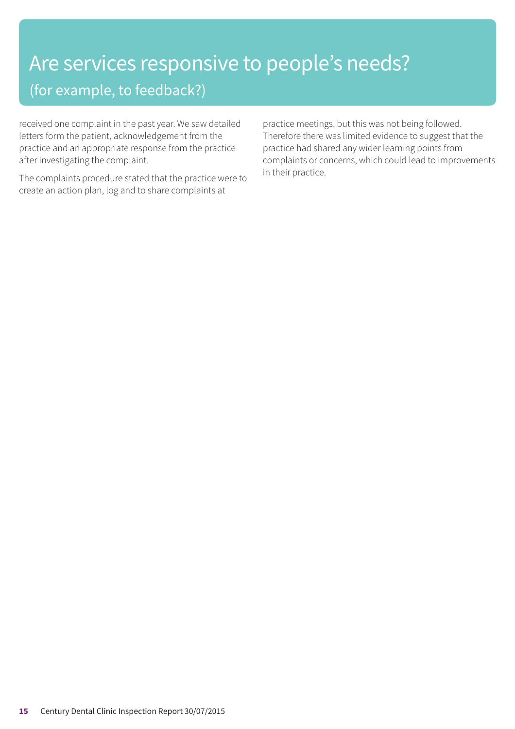# Are services responsive to people's needs?

(for example, to feedback?)

received one complaint in the past year. We saw detailed letters form the patient, acknowledgement from the practice and an appropriate response from the practice after investigating the complaint.

The complaints procedure stated that the practice were to create an action plan, log and to share complaints at

practice meetings, but this was not being followed. Therefore there was limited evidence to suggest that the practice had shared any wider learning points from complaints or concerns, which could lead to improvements in their practice.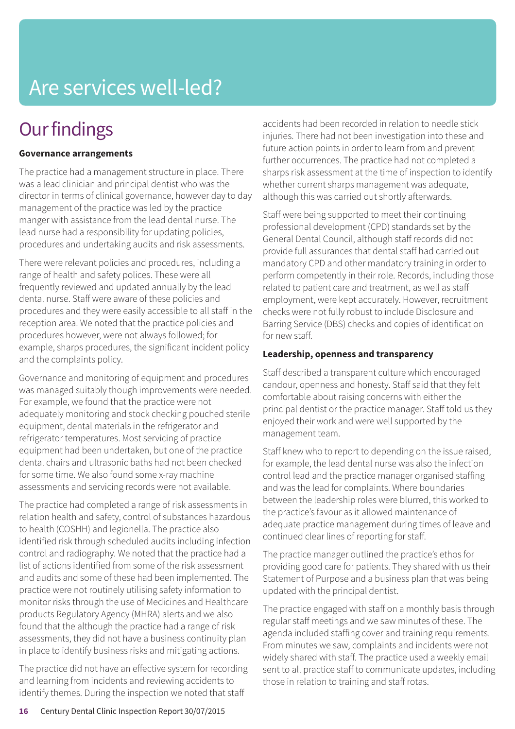# Are services well-led?

### **Our findings**

### **Governance arrangements**

The practice had a management structure in place. There was a lead clinician and principal dentist who was the director in terms of clinical governance, however day to day management of the practice was led by the practice manger with assistance from the lead dental nurse. The lead nurse had a responsibility for updating policies, procedures and undertaking audits and risk assessments.

There were relevant policies and procedures, including a range of health and safety polices. These were all frequently reviewed and updated annually by the lead dental nurse. Staff were aware of these policies and procedures and they were easily accessible to all staff in the reception area. We noted that the practice policies and procedures however, were not always followed; for example, sharps procedures, the significant incident policy and the complaints policy.

Governance and monitoring of equipment and procedures was managed suitably though improvements were needed. For example, we found that the practice were not adequately monitoring and stock checking pouched sterile equipment, dental materials in the refrigerator and refrigerator temperatures. Most servicing of practice equipment had been undertaken, but one of the practice dental chairs and ultrasonic baths had not been checked for some time. We also found some x-ray machine assessments and servicing records were not available.

The practice had completed a range of risk assessments in relation health and safety, control of substances hazardous to health (COSHH) and legionella. The practice also identified risk through scheduled audits including infection control and radiography. We noted that the practice had a list of actions identified from some of the risk assessment and audits and some of these had been implemented. The practice were not routinely utilising safety information to monitor risks through the use of Medicines and Healthcare products Regulatory Agency (MHRA) alerts and we also found that the although the practice had a range of risk assessments, they did not have a business continuity plan in place to identify business risks and mitigating actions.

The practice did not have an effective system for recording and learning from incidents and reviewing accidents to identify themes. During the inspection we noted that staff

accidents had been recorded in relation to needle stick injuries. There had not been investigation into these and future action points in order to learn from and prevent further occurrences. The practice had not completed a sharps risk assessment at the time of inspection to identify whether current sharps management was adequate, although this was carried out shortly afterwards.

Staff were being supported to meet their continuing professional development (CPD) standards set by the General Dental Council, although staff records did not provide full assurances that dental staff had carried out mandatory CPD and other mandatory training in order to perform competently in their role. Records, including those related to patient care and treatment, as well as staff employment, were kept accurately. However, recruitment checks were not fully robust to include Disclosure and Barring Service (DBS) checks and copies of identification for new staff.

### **Leadership, openness and transparency**

Staff described a transparent culture which encouraged candour, openness and honesty. Staff said that they felt comfortable about raising concerns with either the principal dentist or the practice manager. Staff told us they enjoyed their work and were well supported by the management team.

Staff knew who to report to depending on the issue raised, for example, the lead dental nurse was also the infection control lead and the practice manager organised staffing and was the lead for complaints. Where boundaries between the leadership roles were blurred, this worked to the practice's favour as it allowed maintenance of adequate practice management during times of leave and continued clear lines of reporting for staff.

The practice manager outlined the practice's ethos for providing good care for patients. They shared with us their Statement of Purpose and a business plan that was being updated with the principal dentist.

The practice engaged with staff on a monthly basis through regular staff meetings and we saw minutes of these. The agenda included staffing cover and training requirements. From minutes we saw, complaints and incidents were not widely shared with staff. The practice used a weekly email sent to all practice staff to communicate updates, including those in relation to training and staff rotas.